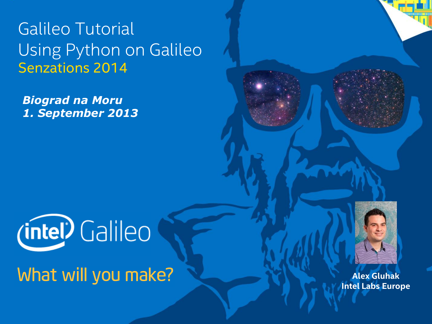Galileo Tutorial Using Python on Galileo Senzations 2014

*Biograd na Moru 1. September 2013*



What will you make?

1 Galileo Tutorial – I/Os, Sensing and Actuation WHAT WILL YOU MAKE?



**Alex Gluhak Intel Labs Europe**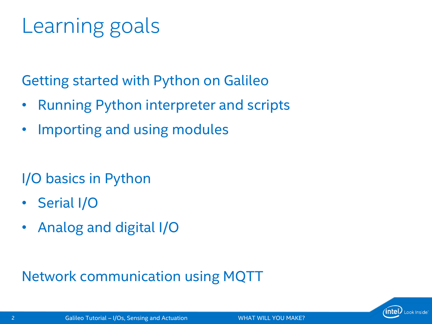# Learning goals

Getting started with Python on Galileo

- Running Python interpreter and scripts
- Importing and using modules

I/O basics in Python

- Serial I/O
- Analog and digital I/O

Network communication using MQTT

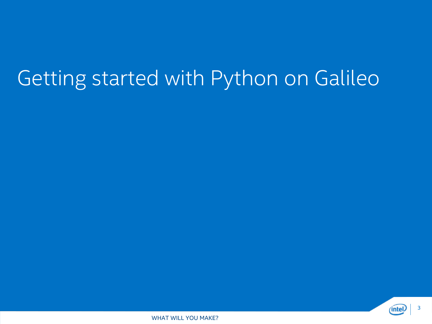### Getting started with Python on Galileo



**3 Galileo Tutorial – I/Os, Sensing and Actuation WHAT WILL YOU MAKE?**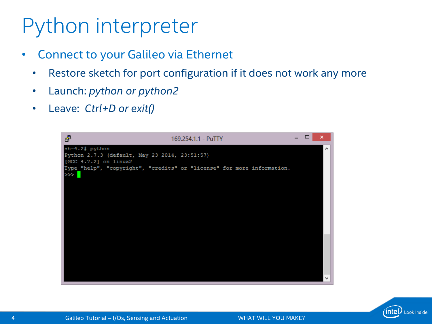## Python interpreter

- Connect to your Galileo via Ethernet
	- Restore sketch for port configuration if it does not work any more
	- Launch: *python or python2*
	- Leave: *Ctrl+D or exit()*



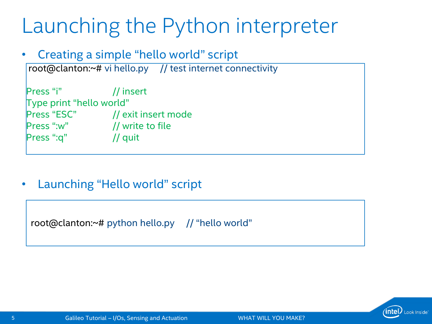### Launching the Python interpreter

#### • Creating a simple "hello world" script

root@clanton:~# vi hello.py // test internet connectivity

Press "i" // insert Type print "hello world" Press "ESC" // exit insert mode Press ":w" // write to file Press ":q" // quit

#### • Launching "Hello world" script

root@clanton:~# python hello.py // "hello world"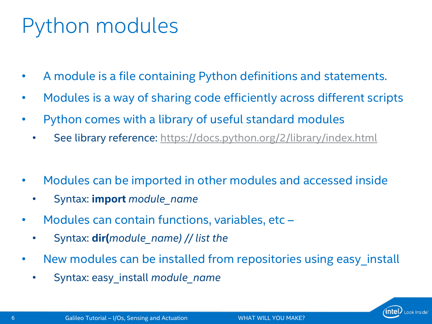# Python modules

- A module is a file containing Python definitions and statements.
- Modules is a way of sharing code efficiently across different scripts
- Python comes with a library of useful standard modules
	- See library reference: <https://docs.python.org/2/library/index.html>
- Modules can be imported in other modules and accessed inside
	- Syntax: **import** *module\_name*
- Modules can contain functions, variables, etc
	- Syntax: **dir(***module\_name) // list the*
- New modules can be installed from repositories using easy\_install
	- Syntax: easy\_install *module\_name*

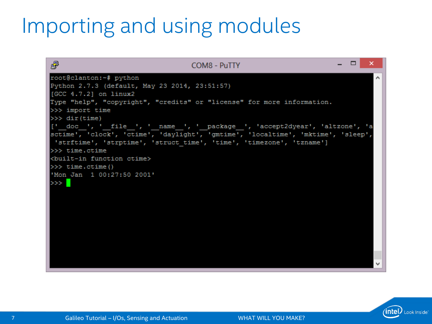### Importing and using modules

| 霳<br>COM8 - PuTTY                                                                       | x |
|-----------------------------------------------------------------------------------------|---|
| root@clanton:~# python                                                                  |   |
| Python 2.7.3 (default, May 23 2014, 23:51:57)                                           |   |
| $[GCC 4.7.2]$ on $1$ inux2                                                              |   |
| Type "help", "copyright", "credits" or "license" for more information.                  |   |
| >>> import time                                                                         |   |
| $>>$ dir(time)                                                                          |   |
| [' doc ', ' file ', ' name ', ' package ', 'accept2dyear', 'altzone', 'a                |   |
| sctime', 'clock', 'ctime', 'daylight', 'gmtime', 'localtime', 'mktime', 'sleep',        |   |
| 'strftime', 'strptime', 'struct time', 'time', 'timezone', 'tzname']<br>$>>$ time.ctime |   |
| <built-in ctime="" function=""></built-in>                                              |   |
| $>>$ time.ctime()                                                                       |   |
| 'Mon Jan 1 00:27:50 2001'                                                               |   |
| $\gg$                                                                                   |   |
|                                                                                         |   |
|                                                                                         |   |
|                                                                                         |   |
|                                                                                         |   |
|                                                                                         |   |
|                                                                                         |   |
|                                                                                         |   |
|                                                                                         |   |
|                                                                                         |   |
|                                                                                         |   |

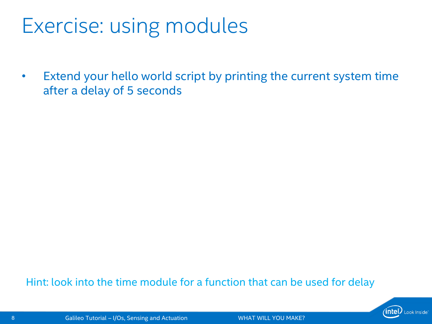### Exercise: using modules

• Extend your hello world script by printing the current system time after a delay of 5 seconds

#### Hint: look into the time module for a function that can be used for delay

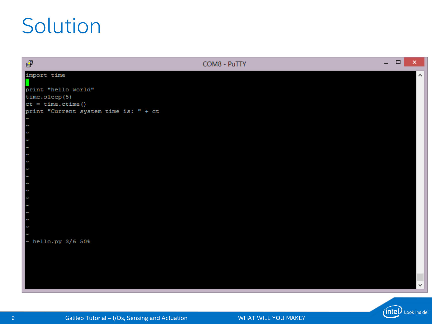### Solution

| 國                                     | COM8 - PuTTY | - | $\Box$ | $\boldsymbol{\mathsf{x}}$ |
|---------------------------------------|--------------|---|--------|---------------------------|
| import time                           |              |   |        | ٨                         |
|                                       |              |   |        |                           |
| print "hello world"                   |              |   |        |                           |
| time.sleep(5)                         |              |   |        |                           |
| $ct = time.ctime()$                   |              |   |        |                           |
| print "Current system time is: " + ct |              |   |        |                           |
|                                       |              |   |        |                           |
|                                       |              |   |        |                           |
|                                       |              |   |        |                           |
|                                       |              |   |        |                           |
|                                       |              |   |        |                           |
|                                       |              |   |        |                           |
|                                       |              |   |        |                           |
|                                       |              |   |        |                           |
|                                       |              |   |        |                           |
|                                       |              |   |        |                           |
|                                       |              |   |        |                           |
|                                       |              |   |        |                           |
|                                       |              |   |        |                           |
|                                       |              |   |        |                           |
|                                       |              |   |        |                           |
|                                       |              |   |        |                           |
| hello.py 3/6 50%                      |              |   |        |                           |
|                                       |              |   |        |                           |
|                                       |              |   |        |                           |
|                                       |              |   |        |                           |
|                                       |              |   |        |                           |
|                                       |              |   |        |                           |
|                                       |              |   |        | v                         |
|                                       |              |   |        |                           |

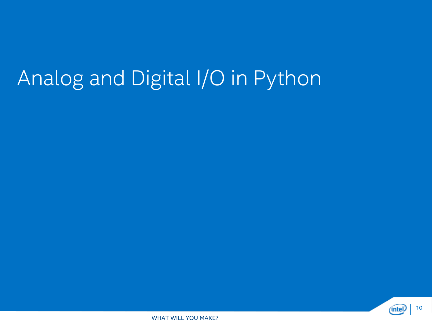# Analog and Digital I/O in Python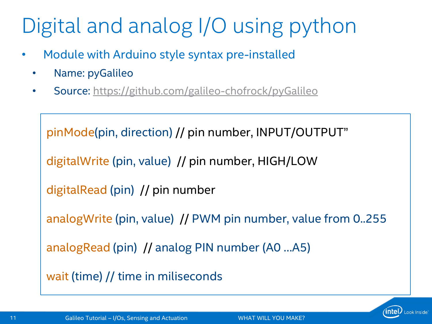# Digital and analog I/O using python

- Module with Arduino style syntax pre-installed
	- Name: pyGalileo
	- Source: <https://github.com/galileo-chofrock/pyGalileo>

```
pinMode(pin, direction) // pin number, INPUT/OUTPUT"
digitalWrite (pin, value) // pin number, HIGH/LOW
digitalRead (pin) // pin number
analogWrite (pin, value) // PWM pin number, value from 0..255
analogRead (pin) // analog PIN number (A0 …A5)
wait (time) // time in miliseconds
```
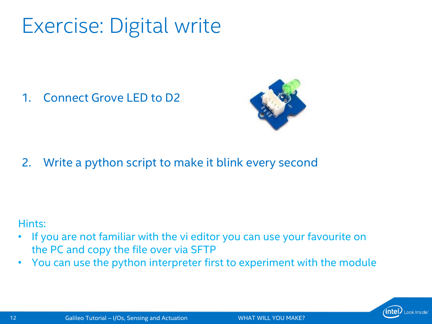### Exercise: Digital write

1. Connect Grove LED to D2



2. Write a python script to make it blink every second

Hints:

- If you are not familiar with the vi editor you can use your favourite on the PC and copy the file over via SFTP
- You can use the python interpreter first to experiment with the module

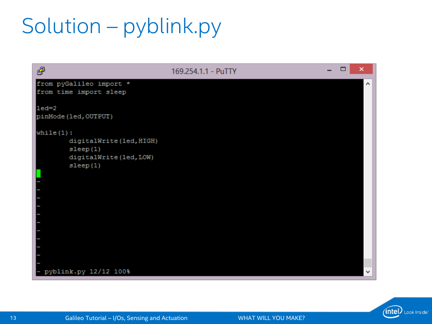# Solution – pyblink.py

| F                                                                                          | 169.254.1.1 - PuTTY | $\overline{\phantom{0}}$ | × |  |
|--------------------------------------------------------------------------------------------|---------------------|--------------------------|---|--|
| from pyGalileo import *<br>from time import sleep                                          |                     |                          | ́ |  |
| $led=2$<br>pinMode (led, OUTPUT)                                                           |                     |                          |   |  |
| while $(1)$ :<br>digitalWrite(led, HIGH)<br>sleep(1)<br>digitalWrite(led, LOW)<br>sleep(1) |                     |                          |   |  |
| pyblink.py 12/12 100%                                                                      |                     |                          | ш |  |

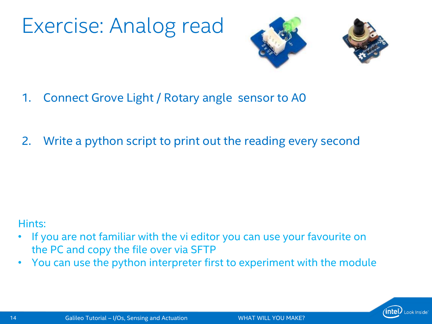## Exercise: Analog read





- 1. Connect Grove Light / Rotary angle sensor to A0
- 2. Write a python script to print out the reading every second

#### Hints:

- If you are not familiar with the vi editor you can use your favourite on the PC and copy the file over via SFTP
- You can use the python interpreter first to experiment with the module

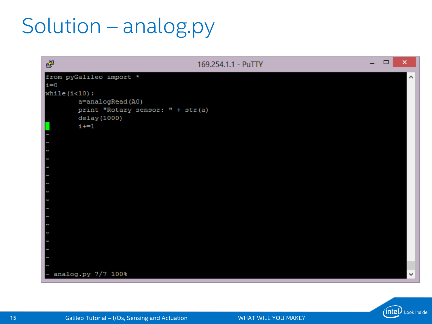## Solution – analog.py



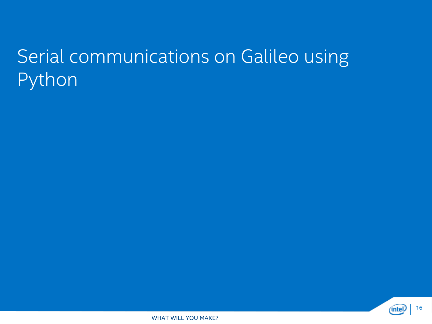### Serial communications on Galileo using Python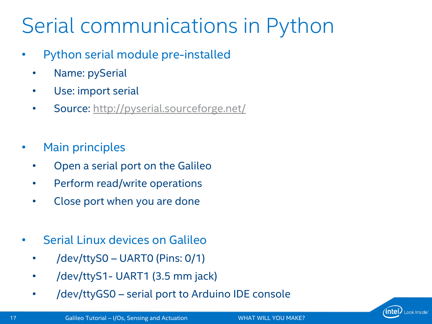# Serial communications in Python

- Python serial module pre-installed
	- Name: pySerial
	- Use: import serial
	- Source:<http://pyserial.sourceforge.net/>
- Main principles
	- Open a serial port on the Galileo
	- Perform read/write operations
	- Close port when you are done
- Serial Linux devices on Galileo
	- /dev/ttyS0 UART0 (Pins: 0/1)
	- /dev/ttyS1- UART1 (3.5 mm jack)
	- /dev/ttyGS0 serial port to Arduino IDE console

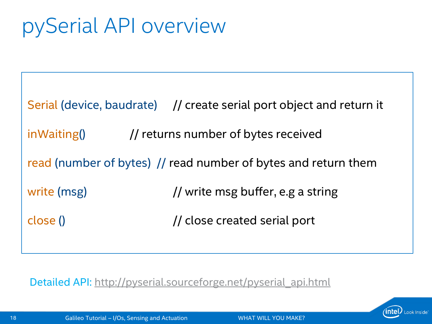# pySerial API overview

Serial (device, baudrate) // create serial port object and return it  $inWaiting()$  // returns number of bytes received read (number of bytes) // read number of bytes and return them write (msg)  $\frac{1}{2}$  write msg buffer, e.g a string close () and in the close created serial port

Detailed API: [http://pyserial.sourceforge.net/pyserial\\_api.html](http://pyserial.sourceforge.net/pyserial_api.html)

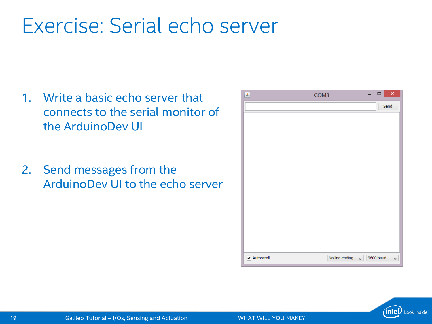### Exercise: Serial echo server

- 1. Write a basic echo server that connects to the serial monitor of the ArduinoDev UI
- 2. Send messages from the ArduinoDev UI to the echo server



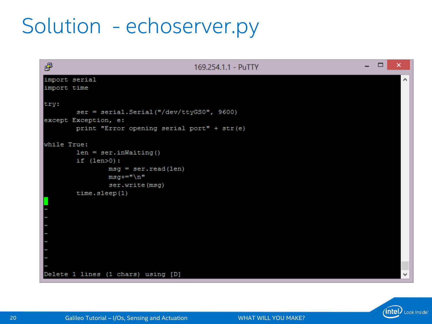## Solution - echoserver.py



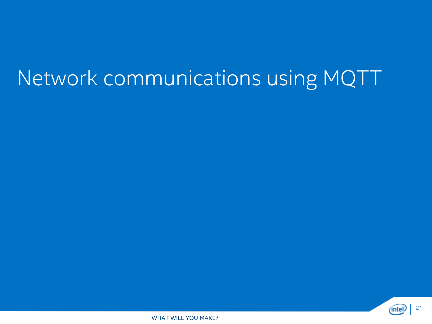## Network communications using MQTT

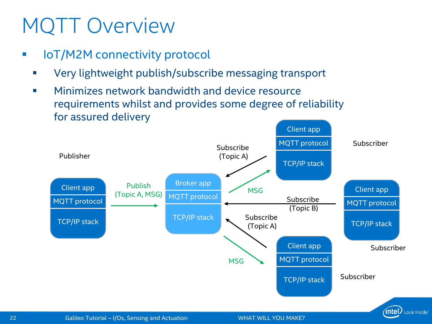# MQTT Overview

- **I** IoT/M2M connectivity protocol
	- Very lightweight publish/subscribe messaging transport
	- **Minimizes network bandwidth and device resource** requirements whilst and provides some degree of reliability for assured delivery

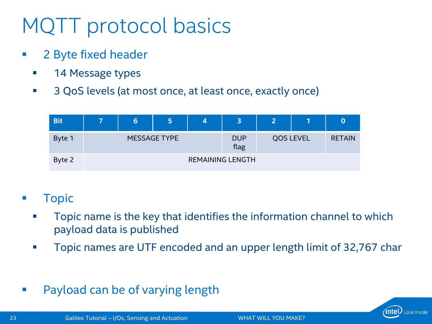# MQTT protocol basics

- **2 Byte fixed header** 
	- **14 Message types**
	- 3 QoS levels (at most once, at least once, exactly once)

| <b>Bit</b> | 7                       | 6 | 5 | 4 | 3                  | 2                |  | $\bf{O}$      |
|------------|-------------------------|---|---|---|--------------------|------------------|--|---------------|
| Byte 1     | <b>MESSAGE TYPE</b>     |   |   |   | <b>DUP</b><br>flag | <b>QOS LEVEL</b> |  | <b>RETAIN</b> |
| Byte 2     | <b>REMAINING LENGTH</b> |   |   |   |                    |                  |  |               |

- **Topic** 
	- **Topic name is the key that identifies the information channel to which** payload data is published
	- **Topic names are UTF encoded and an upper length limit of 32,767 char**
- **Payload can be of varying length**

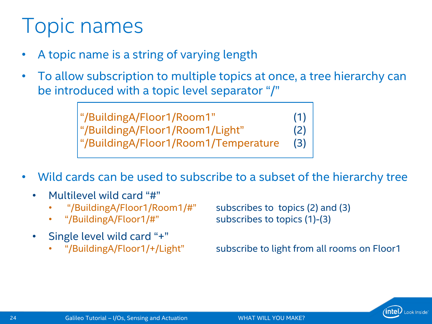### **Topic names**

- A topic name is a string of varying length
- To allow subscription to multiple topics at once, a tree hierarchy can be introduced with a topic level separator "/"

"/BuildingA/Floor1/Room1" (1) "/BuildingA/Floor1/Room1/Light" (2) "/BuildingA/Floor1/Room1/Temperature (3)

- Wild cards can be used to subscribe to a subset of the hierarchy tree
	- Multilevel wild card "#"
		-
		-
	- Single level wild card "+"
		-

• "/BuildingA/Floor1/Room1/#" subscribes to topics (2) and (3) • "/BuildingA/Floor1/#" subscribes to topics (1)-(3)

• "/BuildingA/Floor1/+/Light" subscribe to light from all rooms on Floor1

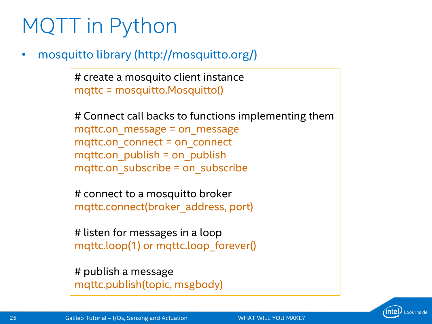# MQTT in Python

• mosquitto library (http://mosquitto.org/)

# create a mosquito client instance mqttc = mosquitto.Mosquitto()

# Connect call backs to functions implementing them mqttc.on\_message = on\_message mqttc.on\_connect = on\_connect mqttc.on  $pubit$  = on publish mqttc.on\_subscribe = on\_subscribe

# connect to a mosquitto broker mqttc.connect(broker\_address, port)

# listen for messages in a loop mqttc.loop(1) or mqttc.loop\_forever()

# publish a message mqttc.publish(topic, msgbody)

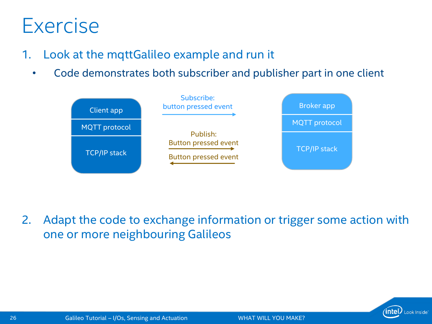### Exercise

- 1. Look at the mqttGalileo example and run it
	- Code demonstrates both subscriber and publisher part in one client



2. Adapt the code to exchange information or trigger some action with one or more neighbouring Galileos

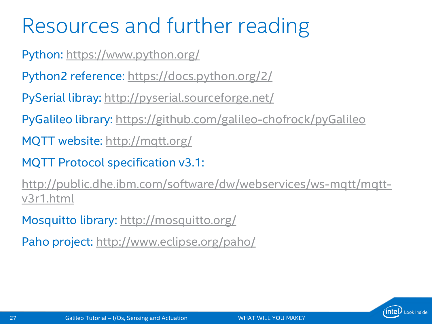## Resources and further reading

Python: <https://www.python.org/>

Python2 reference: <https://docs.python.org/2/>

PySerial libray: <http://pyserial.sourceforge.net/>

PyGalileo library: <https://github.com/galileo-chofrock/pyGalileo>

MQTT website:<http://mqtt.org/>

MQTT Protocol specification v3.1:

[http://public.dhe.ibm.com/software/dw/webservices/ws-mqtt/mqtt](http://public.dhe.ibm.com/software/dw/webservices/ws-mqtt/mqtt-v3r1.html)v3r1.html

Mosquitto library:<http://mosquitto.org/>

Paho project:<http://www.eclipse.org/paho/>